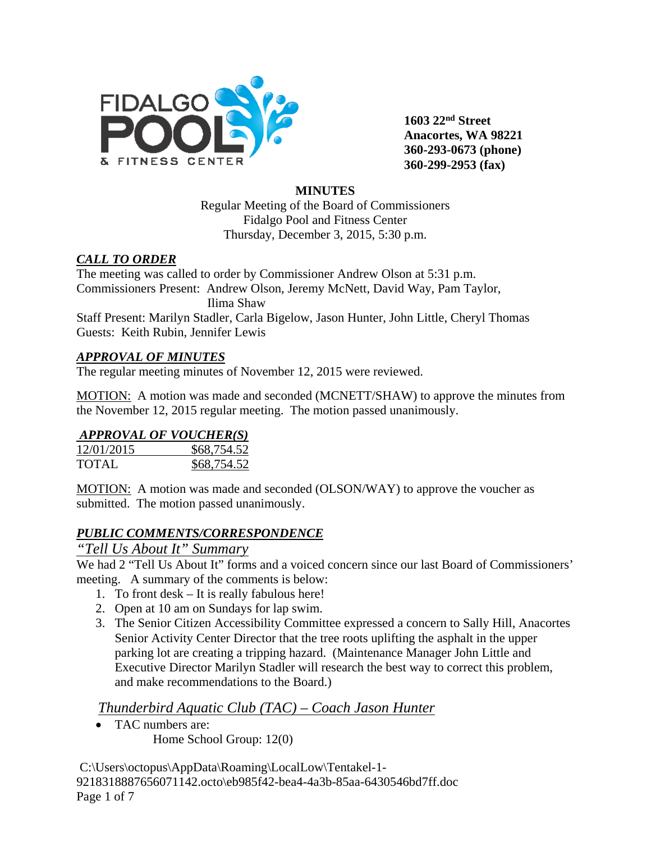

**1603 22nd Street Anacortes, WA 98221 360-293-0673 (phone) 360-299-2953 (fax)**

## **MINUTES**

Regular Meeting of the Board of Commissioners Fidalgo Pool and Fitness Center Thursday, December 3, 2015, 5:30 p.m.

## *CALL TO ORDER*

The meeting was called to order by Commissioner Andrew Olson at 5:31 p.m. Commissioners Present: Andrew Olson, Jeremy McNett, David Way, Pam Taylor, Ilima Shaw

Staff Present: Marilyn Stadler, Carla Bigelow, Jason Hunter, John Little, Cheryl Thomas Guests: Keith Rubin, Jennifer Lewis

## *APPROVAL OF MINUTES*

The regular meeting minutes of November 12, 2015 were reviewed.

MOTION: A motion was made and seconded (MCNETT/SHAW) to approve the minutes from the November 12, 2015 regular meeting. The motion passed unanimously.

## *APPROVAL OF VOUCHER(S)*

| 12/01/2015 | \$68,754.52 |
|------------|-------------|
| TOTAL      | \$68,754.52 |

MOTION: A motion was made and seconded (OLSON/WAY) to approve the voucher as submitted. The motion passed unanimously.

## *PUBLIC COMMENTS/CORRESPONDENCE*

## *"Tell Us About It" Summary*

We had 2 "Tell Us About It" forms and a voiced concern since our last Board of Commissioners' meeting. A summary of the comments is below:

- 1. To front desk It is really fabulous here!
- 2. Open at 10 am on Sundays for lap swim.
- 3. The Senior Citizen Accessibility Committee expressed a concern to Sally Hill, Anacortes Senior Activity Center Director that the tree roots uplifting the asphalt in the upper parking lot are creating a tripping hazard. (Maintenance Manager John Little and Executive Director Marilyn Stadler will research the best way to correct this problem, and make recommendations to the Board.)

## *Thunderbird Aquatic Club (TAC) – Coach Jason Hunter*

• TAC numbers are: Home School Group: 12(0)

C:\Users\octopus\AppData\Roaming\LocalLow\Tentakel-1- 9218318887656071142.octo\eb985f42-bea4-4a3b-85aa-6430546bd7ff.doc Page 1 of 7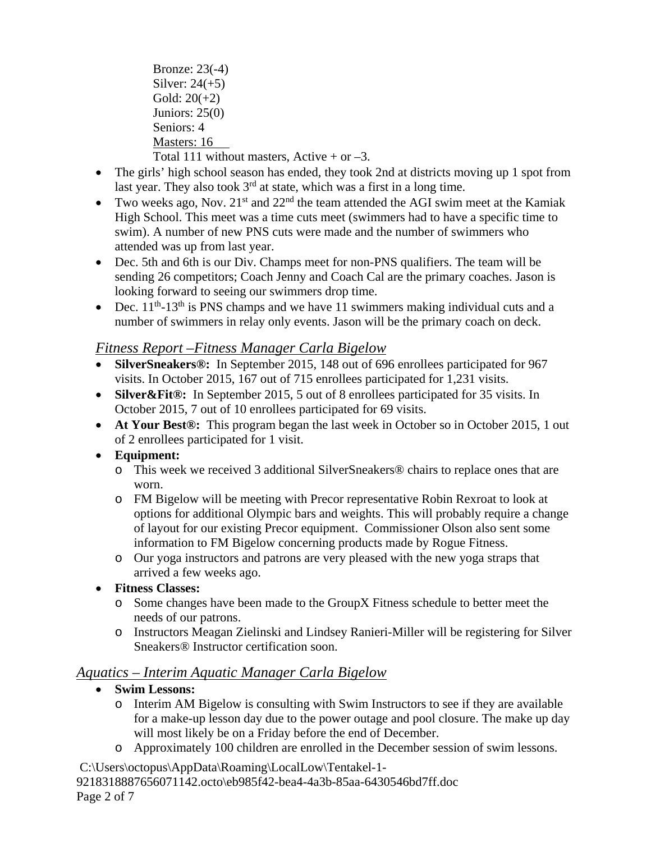Bronze: 23(-4) Silver:  $24(+5)$ Gold:  $20(+2)$ Juniors: 25(0) Seniors: 4 Masters: 16 Total 111 without masters, Active  $+$  or  $-3$ .

- The girls' high school season has ended, they took 2nd at districts moving up 1 spot from last year. They also took  $3<sup>rd</sup>$  at state, which was a first in a long time.
- Two weeks ago, Nov.  $21^{st}$  and  $22^{nd}$  the team attended the AGI swim meet at the Kamiak High School. This meet was a time cuts meet (swimmers had to have a specific time to swim). A number of new PNS cuts were made and the number of swimmers who attended was up from last year.
- Dec. 5th and 6th is our Div. Champs meet for non-PNS qualifiers. The team will be sending 26 competitors; Coach Jenny and Coach Cal are the primary coaches. Jason is looking forward to seeing our swimmers drop time.
- Dec.  $11^{th}$ -13<sup>th</sup> is PNS champs and we have 11 swimmers making individual cuts and a number of swimmers in relay only events. Jason will be the primary coach on deck.

# *Fitness Report –Fitness Manager Carla Bigelow*

- **SilverSneakers®:** In September 2015, 148 out of 696 enrollees participated for 967 visits. In October 2015, 167 out of 715 enrollees participated for 1,231 visits.
- **Silver&Fit®:** In September 2015, 5 out of 8 enrollees participated for 35 visits. In October 2015, 7 out of 10 enrollees participated for 69 visits.
- **At Your Best®:** This program began the last week in October so in October 2015, 1 out of 2 enrollees participated for 1 visit.

## • **Equipment:**

- o This week we received 3 additional SilverSneakers® chairs to replace ones that are worn.
- o FM Bigelow will be meeting with Precor representative Robin Rexroat to look at options for additional Olympic bars and weights. This will probably require a change of layout for our existing Precor equipment. Commissioner Olson also sent some information to FM Bigelow concerning products made by Rogue Fitness.
- o Our yoga instructors and patrons are very pleased with the new yoga straps that arrived a few weeks ago.
- **Fitness Classes:**
	- o Some changes have been made to the GroupX Fitness schedule to better meet the needs of our patrons.
	- o Instructors Meagan Zielinski and Lindsey Ranieri-Miller will be registering for Silver Sneakers® Instructor certification soon.

# *Aquatics – Interim Aquatic Manager Carla Bigelow*

- **Swim Lessons:** 
	- o Interim AM Bigelow is consulting with Swim Instructors to see if they are available for a make-up lesson day due to the power outage and pool closure. The make up day will most likely be on a Friday before the end of December.
	- o Approximately 100 children are enrolled in the December session of swim lessons.

C:\Users\octopus\AppData\Roaming\LocalLow\Tentakel-1- 9218318887656071142.octo\eb985f42-bea4-4a3b-85aa-6430546bd7ff.doc

Page 2 of 7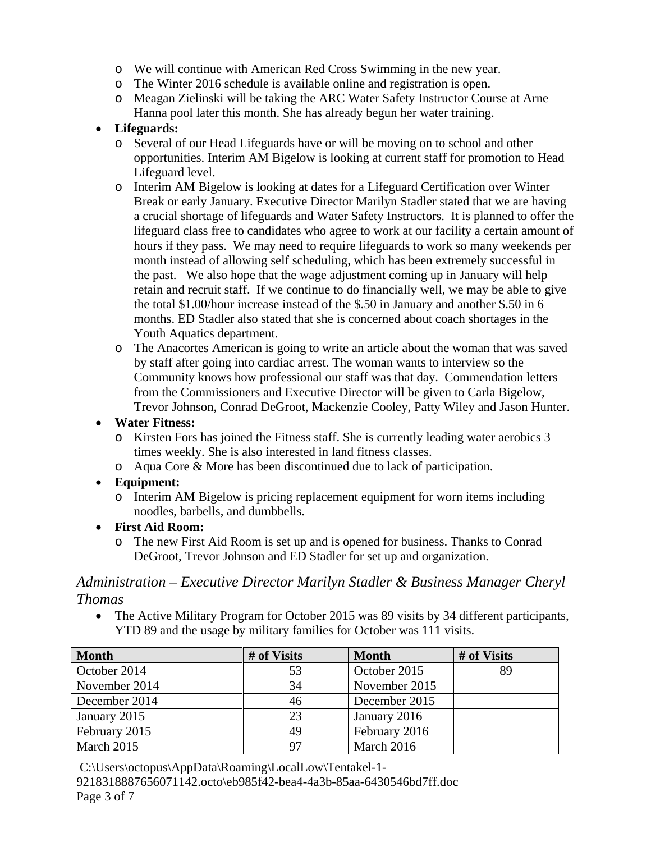- o We will continue with American Red Cross Swimming in the new year.
- o The Winter 2016 schedule is available online and registration is open.
- o Meagan Zielinski will be taking the ARC Water Safety Instructor Course at Arne Hanna pool later this month. She has already begun her water training.

## • **Lifeguards:**

- o Several of our Head Lifeguards have or will be moving on to school and other opportunities. Interim AM Bigelow is looking at current staff for promotion to Head Lifeguard level.
- o Interim AM Bigelow is looking at dates for a Lifeguard Certification over Winter Break or early January. Executive Director Marilyn Stadler stated that we are having a crucial shortage of lifeguards and Water Safety Instructors. It is planned to offer the lifeguard class free to candidates who agree to work at our facility a certain amount of hours if they pass. We may need to require lifeguards to work so many weekends per month instead of allowing self scheduling, which has been extremely successful in the past. We also hope that the wage adjustment coming up in January will help retain and recruit staff. If we continue to do financially well, we may be able to give the total \$1.00/hour increase instead of the \$.50 in January and another \$.50 in 6 months. ED Stadler also stated that she is concerned about coach shortages in the Youth Aquatics department.
- o The Anacortes American is going to write an article about the woman that was saved by staff after going into cardiac arrest. The woman wants to interview so the Community knows how professional our staff was that day. Commendation letters from the Commissioners and Executive Director will be given to Carla Bigelow, Trevor Johnson, Conrad DeGroot, Mackenzie Cooley, Patty Wiley and Jason Hunter.

### • **Water Fitness:**

- o Kirsten Fors has joined the Fitness staff. She is currently leading water aerobics 3 times weekly. She is also interested in land fitness classes.
- o Aqua Core & More has been discontinued due to lack of participation.

#### • **Equipment:**

- o Interim AM Bigelow is pricing replacement equipment for worn items including noodles, barbells, and dumbbells.
- **First Aid Room:**
	- o The new First Aid Room is set up and is opened for business. Thanks to Conrad DeGroot, Trevor Johnson and ED Stadler for set up and organization.

### *Administration – Executive Director Marilyn Stadler & Business Manager Cheryl Thomas*

• The Active Military Program for October 2015 was 89 visits by 34 different participants, YTD 89 and the usage by military families for October was 111 visits.

| <b>Month</b>  | # of Visits | <b>Month</b>  | # of Visits |
|---------------|-------------|---------------|-------------|
| October 2014  | 53          | October 2015  | 89          |
| November 2014 | 34          | November 2015 |             |
| December 2014 | 46          | December 2015 |             |
| January 2015  | 23          | January 2016  |             |
| February 2015 | 49          | February 2016 |             |
| March 2015    | 97          | March 2016    |             |

C:\Users\octopus\AppData\Roaming\LocalLow\Tentakel-1-

9218318887656071142.octo\eb985f42-bea4-4a3b-85aa-6430546bd7ff.doc Page 3 of 7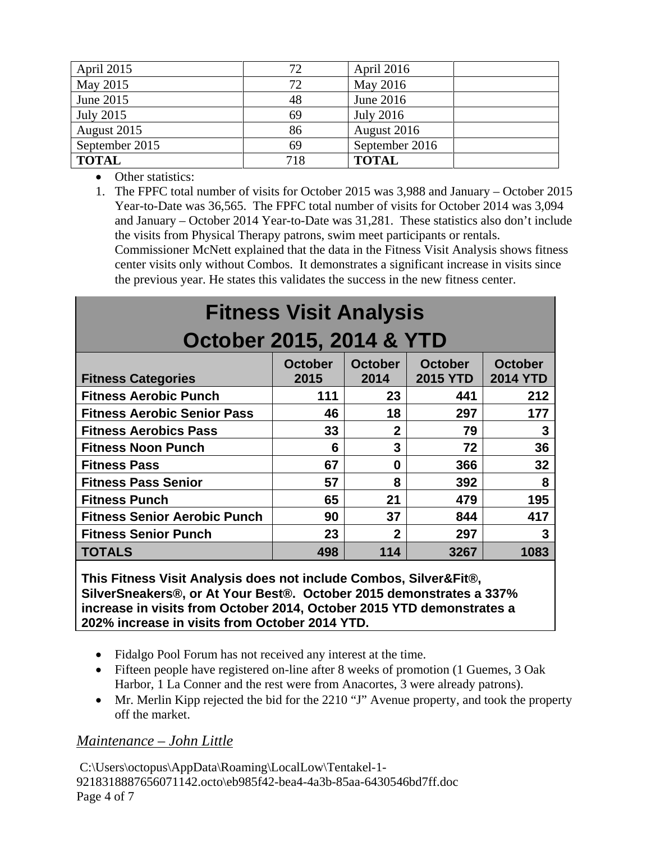| April 2015       | 72  | April 2016       |
|------------------|-----|------------------|
| May 2015         | 72  | May 2016         |
| June 2015        | 48  | June 2016        |
| <b>July 2015</b> | 69  | <b>July 2016</b> |
| August 2015      | 86  | August 2016      |
| September 2015   | 69  | September 2016   |
| <b>TOTAL</b>     | 718 | <b>TOTAL</b>     |

• Other statistics:

1. The FPFC total number of visits for October 2015 was 3,988 and January – October 2015 Year-to-Date was 36,565. The FPFC total number of visits for October 2014 was 3,094 and January – October 2014 Year-to-Date was 31,281. These statistics also don't include the visits from Physical Therapy patrons, swim meet participants or rentals. Commissioner McNett explained that the data in the Fitness Visit Analysis shows fitness center visits only without Combos. It demonstrates a significant increase in visits since the previous year. He states this validates the success in the new fitness center.

| <b>Fitness Visit Analysis</b>       |                        |                        |                                   |                                   |  |
|-------------------------------------|------------------------|------------------------|-----------------------------------|-----------------------------------|--|
| October 2015, 2014 & YTD            |                        |                        |                                   |                                   |  |
| <b>Fitness Categories</b>           | <b>October</b><br>2015 | <b>October</b><br>2014 | <b>October</b><br><b>2015 YTD</b> | <b>October</b><br><b>2014 YTD</b> |  |
| <b>Fitness Aerobic Punch</b>        | 111                    | 23                     | 441                               | 212                               |  |
| <b>Fitness Aerobic Senior Pass</b>  | 46                     | 18                     | 297                               | 177                               |  |
| <b>Fitness Aerobics Pass</b>        | 33                     | $\mathbf{2}$           | 79                                | 3                                 |  |
| <b>Fitness Noon Punch</b>           | 6                      | 3                      | 72                                | 36                                |  |
| <b>Fitness Pass</b>                 | 67                     | 0                      | 366                               | 32                                |  |
| <b>Fitness Pass Senior</b>          | 57                     | 8                      | 392                               | 8                                 |  |
| <b>Fitness Punch</b>                | 65                     | 21                     | 479                               | 195                               |  |
| <b>Fitness Senior Aerobic Punch</b> | 90                     | 37                     | 844                               | 417                               |  |
| <b>Fitness Senior Punch</b>         | 23                     | $\mathbf 2$            | 297                               | 3                                 |  |
| <b>TOTALS</b>                       | 498                    | 114                    | 3267                              | 1083                              |  |

**This Fitness Visit Analysis does not include Combos, Silver&Fit®, SilverSneakers®, or At Your Best®. October 2015 demonstrates a 337% increase in visits from October 2014, October 2015 YTD demonstrates a 202% increase in visits from October 2014 YTD.**

- Fidalgo Pool Forum has not received any interest at the time.
- Fifteen people have registered on-line after 8 weeks of promotion (1 Guemes, 3 Oak Harbor, 1 La Conner and the rest were from Anacortes, 3 were already patrons).
- Mr. Merlin Kipp rejected the bid for the 2210 "J" Avenue property, and took the property off the market.

# *Maintenance – John Little*

C:\Users\octopus\AppData\Roaming\LocalLow\Tentakel-1- 9218318887656071142.octo\eb985f42-bea4-4a3b-85aa-6430546bd7ff.doc Page 4 of 7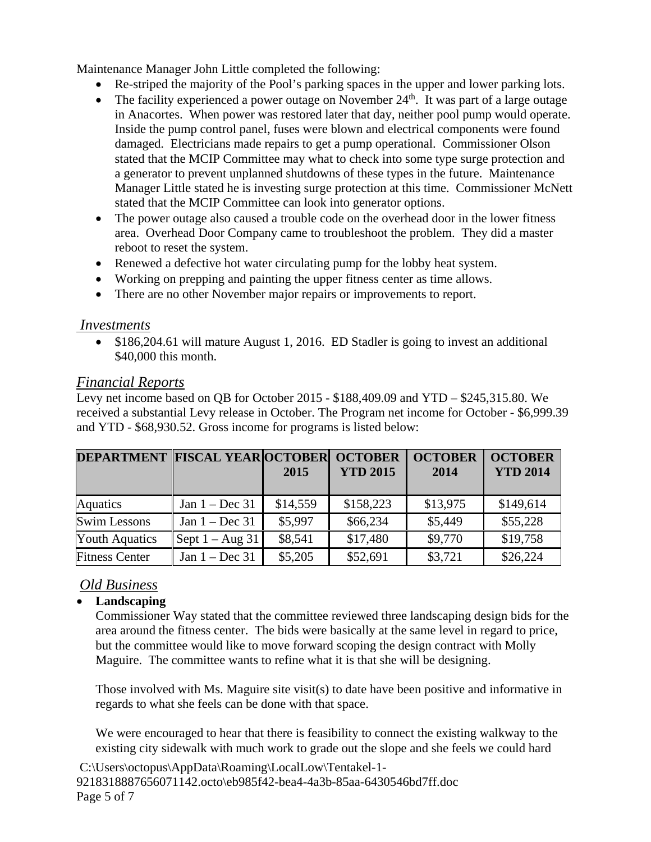Maintenance Manager John Little completed the following:

- Re-striped the majority of the Pool's parking spaces in the upper and lower parking lots.
- The facility experienced a power outage on November  $24<sup>th</sup>$ . It was part of a large outage in Anacortes. When power was restored later that day, neither pool pump would operate. Inside the pump control panel, fuses were blown and electrical components were found damaged. Electricians made repairs to get a pump operational. Commissioner Olson stated that the MCIP Committee may what to check into some type surge protection and a generator to prevent unplanned shutdowns of these types in the future. Maintenance Manager Little stated he is investing surge protection at this time. Commissioner McNett stated that the MCIP Committee can look into generator options.
- The power outage also caused a trouble code on the overhead door in the lower fitness area. Overhead Door Company came to troubleshoot the problem. They did a master reboot to reset the system.
- Renewed a defective hot water circulating pump for the lobby heat system.
- Working on prepping and painting the upper fitness center as time allows.
- There are no other November major repairs or improvements to report.

## *Investments*

• \$186,204.61 will mature August 1, 2016. ED Stadler is going to invest an additional \$40,000 this month.

## *Financial Reports*

Levy net income based on QB for October 2015 - \$188,409.09 and YTD – \$245,315.80. We received a substantial Levy release in October. The Program net income for October - \$6,999.39 and YTD - \$68,930.52. Gross income for programs is listed below:

| <b>DEPARTMENT FISCAL YEAR OCTOBER OCTOBER</b> |                   | 2015     | <b>YTD 2015</b> | <b>OCTOBER</b><br>2014 | <b>OCTOBER</b><br><b>YTD 2014</b> |
|-----------------------------------------------|-------------------|----------|-----------------|------------------------|-----------------------------------|
| <b>Aquatics</b>                               | Jan $1 - Dec 31$  | \$14,559 | \$158,223       | \$13,975               | \$149,614                         |
| <b>Swim Lessons</b>                           | Jan $1 - Dec 31$  | \$5,997  | \$66,234        | \$5,449                | \$55,228                          |
| <b>Youth Aquatics</b>                         | Sept $1 - Aug$ 31 | \$8,541  | \$17,480        | \$9,770                | \$19,758                          |
| <b>Fitness Center</b>                         | Jan $1 - Dec 31$  | \$5,205  | \$52,691        | \$3,721                | \$26,224                          |

# *Old Business*

## • **Landscaping**

Commissioner Way stated that the committee reviewed three landscaping design bids for the area around the fitness center. The bids were basically at the same level in regard to price, but the committee would like to move forward scoping the design contract with Molly Maguire. The committee wants to refine what it is that she will be designing.

Those involved with Ms. Maguire site visit(s) to date have been positive and informative in regards to what she feels can be done with that space.

We were encouraged to hear that there is feasibility to connect the existing walkway to the existing city sidewalk with much work to grade out the slope and she feels we could hard

C:\Users\octopus\AppData\Roaming\LocalLow\Tentakel-1- 9218318887656071142.octo\eb985f42-bea4-4a3b-85aa-6430546bd7ff.doc Page 5 of 7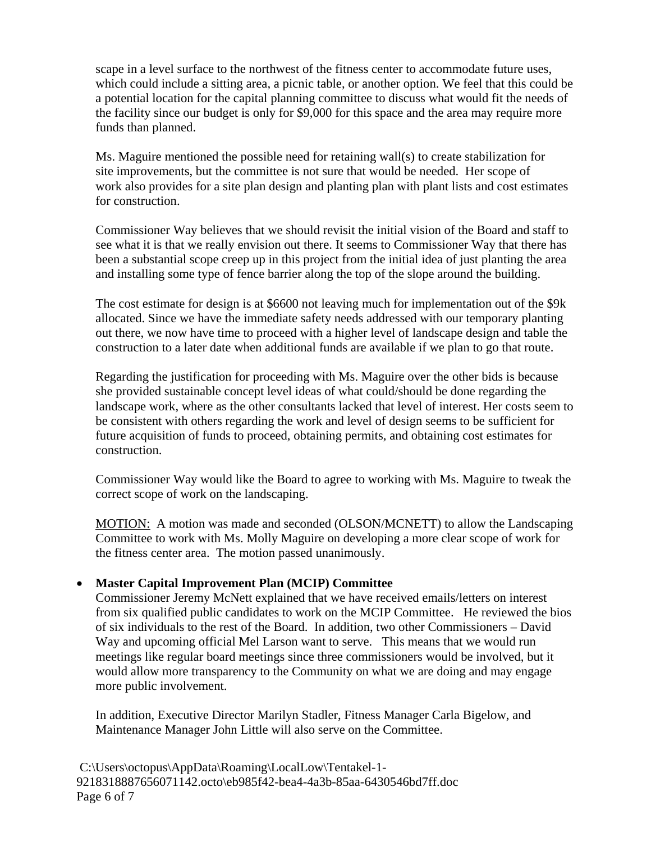scape in a level surface to the northwest of the fitness center to accommodate future uses, which could include a sitting area, a picnic table, or another option. We feel that this could be a potential location for the capital planning committee to discuss what would fit the needs of the facility since our budget is only for \$9,000 for this space and the area may require more funds than planned.

Ms. Maguire mentioned the possible need for retaining wall(s) to create stabilization for site improvements, but the committee is not sure that would be needed. Her scope of work also provides for a site plan design and planting plan with plant lists and cost estimates for construction.

Commissioner Way believes that we should revisit the initial vision of the Board and staff to see what it is that we really envision out there. It seems to Commissioner Way that there has been a substantial scope creep up in this project from the initial idea of just planting the area and installing some type of fence barrier along the top of the slope around the building.

The cost estimate for design is at \$6600 not leaving much for implementation out of the \$9k allocated. Since we have the immediate safety needs addressed with our temporary planting out there, we now have time to proceed with a higher level of landscape design and table the construction to a later date when additional funds are available if we plan to go that route.

Regarding the justification for proceeding with Ms. Maguire over the other bids is because she provided sustainable concept level ideas of what could/should be done regarding the landscape work, where as the other consultants lacked that level of interest. Her costs seem to be consistent with others regarding the work and level of design seems to be sufficient for future acquisition of funds to proceed, obtaining permits, and obtaining cost estimates for construction.

Commissioner Way would like the Board to agree to working with Ms. Maguire to tweak the correct scope of work on the landscaping.

MOTION: A motion was made and seconded (OLSON/MCNETT) to allow the Landscaping Committee to work with Ms. Molly Maguire on developing a more clear scope of work for the fitness center area. The motion passed unanimously.

#### • **Master Capital Improvement Plan (MCIP) Committee**

Commissioner Jeremy McNett explained that we have received emails/letters on interest from six qualified public candidates to work on the MCIP Committee. He reviewed the bios of six individuals to the rest of the Board. In addition, two other Commissioners – David Way and upcoming official Mel Larson want to serve. This means that we would run meetings like regular board meetings since three commissioners would be involved, but it would allow more transparency to the Community on what we are doing and may engage more public involvement.

In addition, Executive Director Marilyn Stadler, Fitness Manager Carla Bigelow, and Maintenance Manager John Little will also serve on the Committee.